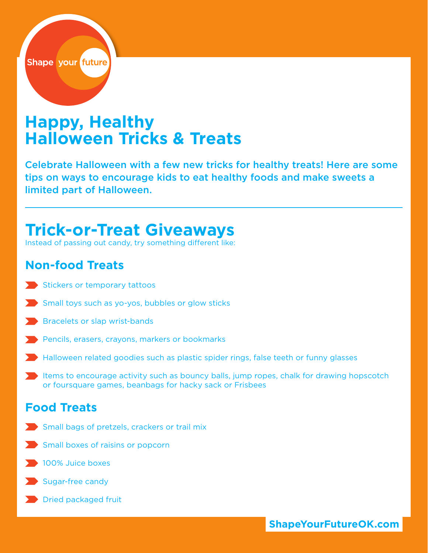

# **Happy, Healthy Halloween Tricks & Treats**

Celebrate Halloween with a few new tricks for healthy treats! Here are some tips on ways to encourage kids to eat healthy foods and make sweets a limited part of Halloween.

## **Trick-or-Treat Giveaways**

Instead of passing out candy, try something different like:

## **Non-food Treats**

- Stickers or temporary tattoos
- Small toys such as yo-yos, bubbles or glow sticks
- **Bracelets or slap wrist-bands**
- Pencils, erasers, crayons, markers or bookmarks
- Halloween related goodies such as plastic spider rings, false teeth or funny glasses
- Items to encourage activity such as bouncy balls, jump ropes, chalk for drawing hopscotch or foursquare games, beanbags for hacky sack or Frisbees

## **Food Treats**

- Small bags of pretzels, crackers or trail mix
- Small boxes of raisins or popcorn
- **100% Juice boxes**
- Sugar-free candy
- **Dried packaged fruit**